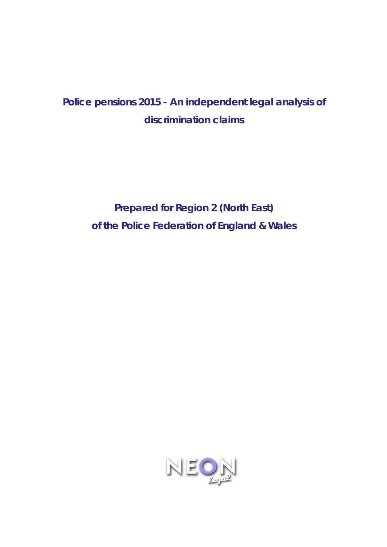# *Police pensions 2015 - An independent legal analysis of discrimination claims*

**Prepared for Region 2 (North East) of the Police Federation of England & Wales** 

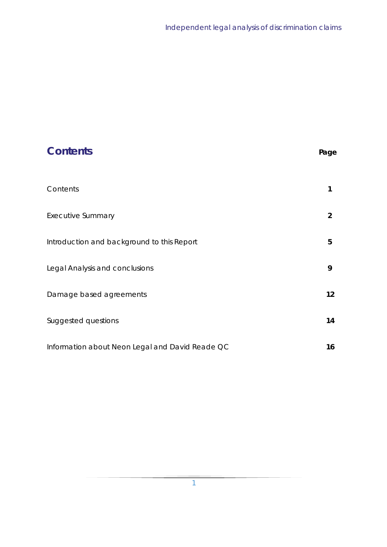| <b>Contents</b>                                 | Page           |
|-------------------------------------------------|----------------|
| Contents                                        | 1              |
| <b>Executive Summary</b>                        | $\overline{2}$ |
| Introduction and background to this Report      | 5              |
| Legal Analysis and conclusions                  | 9              |
| Damage based agreements                         | 12             |
| Suggested questions                             | 14             |
| Information about Neon Legal and David Reade QC | 16             |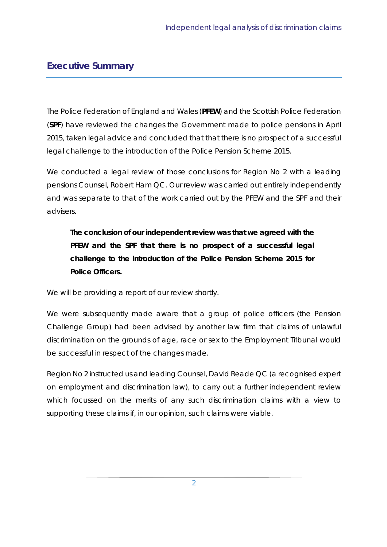### **Executive Summary**

The Police Federation of England and Wales (**PFEW**) and the Scottish Police Federation (**SPF**) have reviewed the changes the Government made to police pensions in April 2015, taken legal advice and concluded that that there is no prospect of a successful legal challenge to the introduction of the Police Pension Scheme 2015.

We conducted a legal review of those conclusions for Region No 2 with a leading pensions Counsel, Robert Ham QC. Our review was carried out entirely independently and was separate to that of the work carried out by the PFEW and the SPF and their advisers.

# **The conclusion of our independent review was that we agreed with the PFEW and the SPF that there is no prospect of a successful legal challenge to the introduction of the Police Pension Scheme 2015 for Police Officers.**

We will be providing a report of our review shortly.

We were subsequently made aware that a group of police officers (the Pension Challenge Group) had been advised by another law firm that claims of unlawful discrimination on the grounds of age, race or sex to the Employment Tribunal would be successful in respect of the changes made.

Region No 2 instructed us and leading Counsel, David Reade QC (a recognised expert on employment and discrimination law), to carry out a further independent review which focussed on the merits of any such discrimination claims with a view to supporting these claims if, in our opinion, such claims were viable.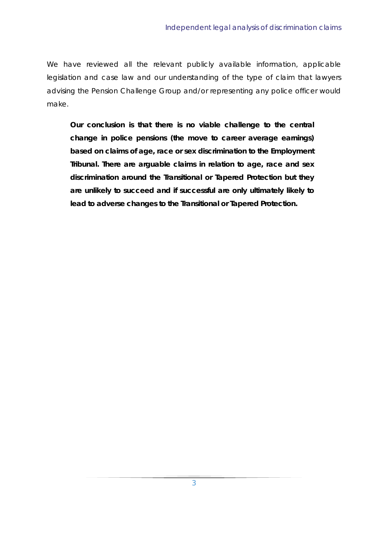We have reviewed all the relevant publicly available information, applicable legislation and case law and our understanding of the type of claim that lawyers advising the Pension Challenge Group and/or representing any police officer would make.

**Our conclusion is that there is no viable challenge to the central change in police pensions (the move to career average earnings) based on claims of age, race or sex discrimination to the Employment Tribunal. There are arguable claims in relation to age, race and sex discrimination around the Transitional or Tapered Protection but they are unlikely to succeed and if successful are only ultimately likely to lead to adverse changes to the Transitional or Tapered Protection.**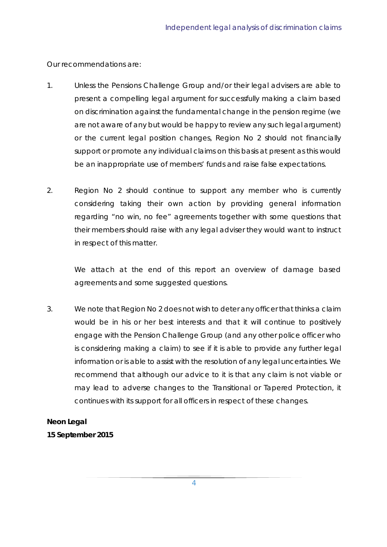Our recommendations are:

- 1. Unless the Pensions Challenge Group and/or their legal advisers are able to present a compelling legal argument for successfully making a claim based on discrimination against the fundamental change in the pension regime (we are not aware of any but would be happy to review any such legal argument) or the current legal position changes, Region No 2 should not financially support or promote any individual claims on this basis at present as this would be an inappropriate use of members' funds and raise false expectations.
- 2. Region No 2 should continue to support any member who is currently considering taking their own action by providing general information regarding "no win, no fee" agreements together with some questions that their members should raise with any legal adviser they would want to instruct in respect of this matter.

We attach at the end of this report an overview of damage based agreements and some suggested questions.

3. We note that Region No 2 does not wish to deter any officer that thinks a claim would be in his or her best interests and that it will continue to positively engage with the Pension Challenge Group (and any other police officer who is considering making a claim) to see if it is able to provide any further legal information or is able to assist with the resolution of any legal uncertainties. We recommend that although our advice to it is that any claim is not viable or may lead to adverse changes to the Transitional or Tapered Protection, it continues with its support for all officers in respect of these changes.

### **Neon Legal**

**15 September 2015**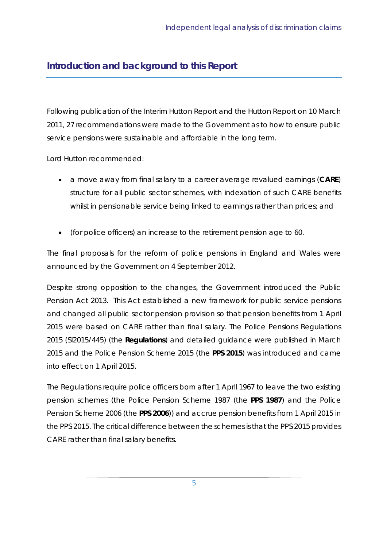# **Introduction and background to this Report**

Following publication of the Interim Hutton Report and the Hutton Report on 10 March 2011, 27 recommendations were made to the Government as to how to ensure public service pensions were sustainable and affordable in the long term.

Lord Hutton recommended:

- a move away from final salary to a career average revalued earnings (**CARE**) structure for all public sector schemes, with indexation of such CARE benefits whilst in pensionable service being linked to earnings rather than prices; and
- (for police officers) an increase to the retirement pension age to 60.

The final proposals for the reform of police pensions in England and Wales were announced by the Government on 4 September 2012.

Despite strong opposition to the changes, the Government introduced the Public Pension Act 2013. This Act established a new framework for public service pensions and changed all public sector pension provision so that pension benefits from 1 April 2015 were based on CARE rather than final salary. The Police Pensions Regulations 2015 (SI2015/445) (the **Regulations**) and detailed guidance were published in March 2015 and the Police Pension Scheme 2015 (the **PPS 2015**) was introduced and came into effect on 1 April 2015.

The Regulations require police officers born after 1 April 1967 to leave the two existing pension schemes (the Police Pension Scheme 1987 (the **PPS 1987**) and the Police Pension Scheme 2006 (the **PPS 2006**)) and accrue pension benefits from 1 April 2015 in the PPS 2015. The critical difference between the schemes is that the PPS 2015 provides CARE rather than final salary benefits.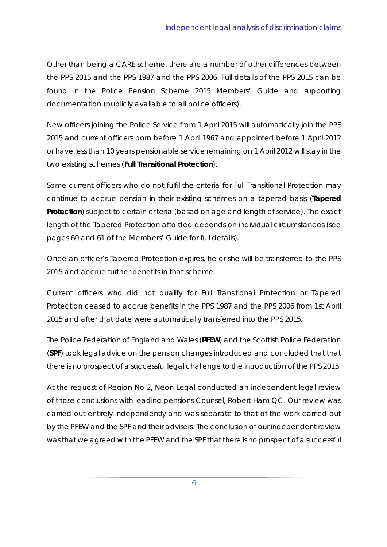Other than being a CARE scheme, there are a number of other differences between the PPS 2015 and the PPS 1987 and the PPS 2006. Full details of the PPS 2015 can be found in the Police Pension Scheme 2015 Members' Guide and supporting documentation (publicly available to all police officers).

New officers joining the Police Service from 1 April 2015 will automatically join the PPS 2015 and current officers born before 1 April 1967 and appointed before 1 April 2012 or have less than 10 years pensionable service remaining on 1 April 2012 will stay in the two existing schemes (**Full Transitional Protection**).

Some current officers who do not fulfil the criteria for Full Transitional Protection may continue to accrue pension in their existing schemes on a tapered basis (**Tapered**  Protection) subject to certain criteria (based on age and length of service). The exact length of the Tapered Protection afforded depends on individual circumstances (see pages 60 and 61 of the Members' Guide for full details).

Once an officer's Tapered Protection expires, he or she will be transferred to the PPS 2015 and accrue further benefits in that scheme.

Current officers who did not qualify for Full Transitional Protection or Tapered Protection ceased to accrue benefits in the PPS 1987 and the PPS 2006 from 1st April 2015 and after that date were automatically transferred into the PPS 2015.

The Police Federation of England and Wales (**PFEW**) and the Scottish Police Federation (**SPF**) took legal advice on the pension changes introduced and concluded that that there is no prospect of a successful legal challenge to the introduction of the PPS 2015.

At the request of Region No 2, Neon Legal conducted an independent legal review of those conclusions with leading pensions Counsel, Robert Ham QC. Our review was carried out entirely independently and was separate to that of the work carried out by the PFEW and the SPF and their advisers. The conclusion of our independent review was that we agreed with the PFEW and the SPF that there is no prospect of a successful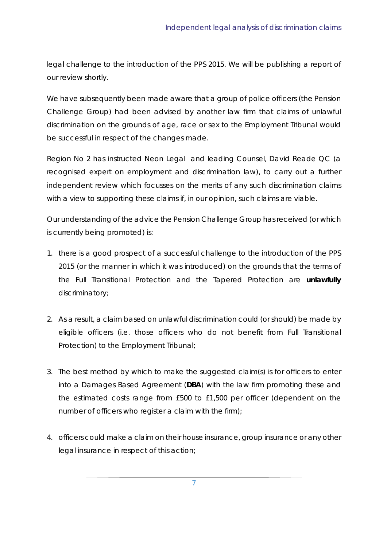legal challenge to the introduction of the PPS 2015. We will be publishing a report of our review shortly.

We have subsequently been made aware that a group of police officers (the Pension Challenge Group) had been advised by another law firm that claims of unlawful discrimination on the grounds of age, race or sex to the Employment Tribunal would be successful in respect of the changes made.

Region No 2 has instructed Neon Legal and leading Counsel, David Reade QC (a recognised expert on employment and discrimination law), to carry out a further independent review which focusses on the merits of any such discrimination claims with a view to supporting these claims if, in our opinion, such claims are viable.

Our understanding of the advice the Pension Challenge Group has received (or which is currently being promoted) is:

- 1. there is a good prospect of a successful challenge to the introduction of the PPS 2015 (or the manner in which it was introduced) on the grounds that the terms of the Full Transitional Protection and the Tapered Protection are **unlawfully** discriminatory;
- 2. As a result, a claim based on unlawful discrimination could (or should) be made by eligible officers (i.e. those officers who do not benefit from Full Transitional Protection) to the Employment Tribunal;
- 3. The best method by which to make the suggested claim(s) is for officers to enter into a Damages Based Agreement (**DBA**) with the law firm promoting these and the estimated costs range from £500 to £1,500 per officer (dependent on the number of officers who register a claim with the firm);
- 4. officers could make a claim on their house insurance, group insurance or any other legal insurance in respect of this action;

7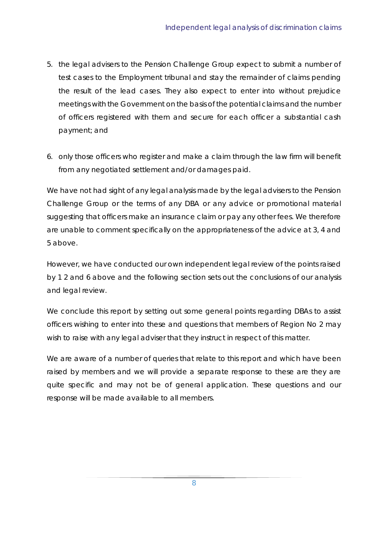- 5. the legal advisers to the Pension Challenge Group expect to submit a number of test cases to the Employment tribunal and stay the remainder of claims pending the result of the lead cases. They also expect to enter into without prejudice meetings with the Government on the basis of the potential claims and the number of officers registered with them and secure for each officer a substantial cash payment; and
- 6. only those officers who register and make a claim through the law firm will benefit from any negotiated settlement and/or damages paid.

We have not had sight of any legal analysis made by the legal advisers to the Pension Challenge Group or the terms of any DBA or any advice or promotional material suggesting that officers make an insurance claim or pay any other fees. We therefore are unable to comment specifically on the appropriateness of the advice at 3, 4 and 5 above.

However, we have conducted our own independent legal review of the points raised by 1 2 and 6 above and the following section sets out the conclusions of our analysis and legal review.

We conclude this report by setting out some general points regarding DBAs to assist officers wishing to enter into these and questions that members of Region No 2 may wish to raise with any legal adviser that they instruct in respect of this matter.

We are aware of a number of queries that relate to this report and which have been raised by members and we will provide a separate response to these are they are quite specific and may not be of general application. These questions and our response will be made available to all members.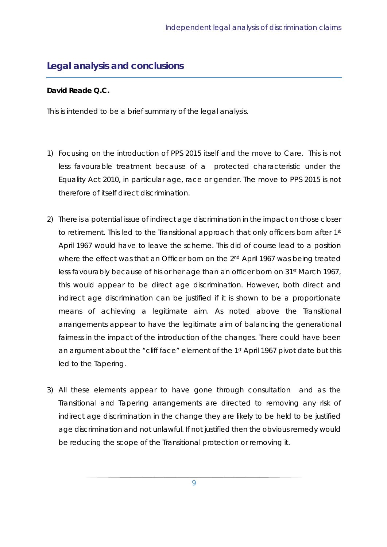# **Legal analysis and conclusions**

### **David Reade Q.C.**

This is intended to be a brief summary of the legal analysis.

- 1) Focusing on the introduction of PPS 2015 itself and the move to Care. This is not less favourable treatment because of a protected characteristic under the Equality Act 2010, in particular age, race or gender. The move to PPS 2015 is not therefore of itself direct discrimination.
- 2) There is a potential issue of indirect age discrimination in the impact on those closer to retirement. This led to the Transitional approach that only officers born after 1st April 1967 would have to leave the scheme. This did of course lead to a position where the effect was that an Officer born on the 2<sup>nd</sup> April 1967 was being treated less favourably because of his or her age than an officer born on 31<sup>st</sup> March 1967, this would appear to be direct age discrimination. However, both direct and indirect age discrimination can be justified if it is shown to be a proportionate means of achieving a legitimate aim. As noted above the Transitional arrangements appear to have the legitimate aim of balancing the generational fairness in the impact of the introduction of the changes. There could have been an argument about the "cliff face" element of the 1st April 1967 pivot date but this led to the Tapering.
- 3) All these elements appear to have gone through consultation and as the Transitional and Tapering arrangements are directed to removing any risk of indirect age discrimination in the change they are likely to be held to be justified age discrimination and not unlawful. If not justified then the obvious remedy would be reducing the scope of the Transitional protection or removing it.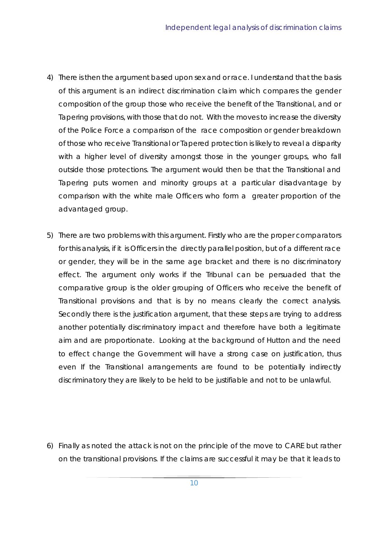- 4) There is then the argument based upon sex and or race. I understand that the basis of this argument is an indirect discrimination claim which compares the gender composition of the group those who receive the benefit of the Transitional, and or Tapering provisions, with those that do not. With the moves to increase the diversity of the Police Force a comparison of the race composition or gender breakdown of those who receive Transitional or Tapered protection is likely to reveal a disparity with a higher level of diversity amongst those in the younger groups, who fall outside those protections. The argument would then be that the Transitional and Tapering puts women and minority groups at a particular disadvantage by comparison with the white male Officers who form a greater proportion of the advantaged group.
- 5) There are two problems with this argument. Firstly who are the proper comparators for this analysis, if it is Officers in the directly parallel position, but of a different race or gender, they will be in the same age bracket and there is no discriminatory effect. The argument only works if the Tribunal can be persuaded that the comparative group is the older grouping of Officers who receive the benefit of Transitional provisions and that is by no means clearly the correct analysis. Secondly there is the justification argument, that these steps are trying to address another potentially discriminatory impact and therefore have both a legitimate aim and are proportionate. Looking at the background of Hutton and the need to effect change the Government will have a strong case on justification, thus even If the Transitional arrangements are found to be potentially indirectly discriminatory they are likely to be held to be justifiable and not to be unlawful.

6) Finally as noted the attack is not on the principle of the move to CARE but rather on the transitional provisions. If the claims are successful it may be that it leads to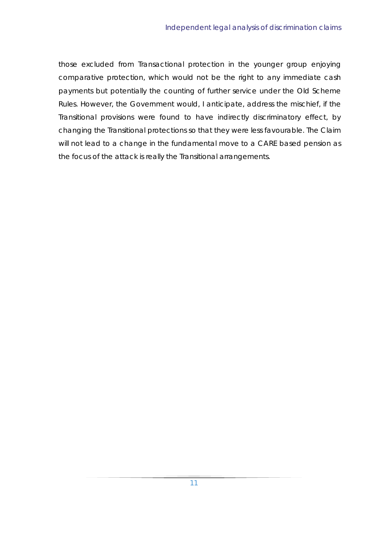those excluded from Transactional protection in the younger group enjoying comparative protection, which would not be the right to any immediate cash payments but potentially the counting of further service under the Old Scheme Rules. However, the Government would, I anticipate, address the mischief, if the Transitional provisions were found to have indirectly discriminatory effect, by changing the Transitional protections so that they were less favourable. The Claim will not lead to a change in the fundamental move to a CARE based pension as the focus of the attack is really the Transitional arrangements.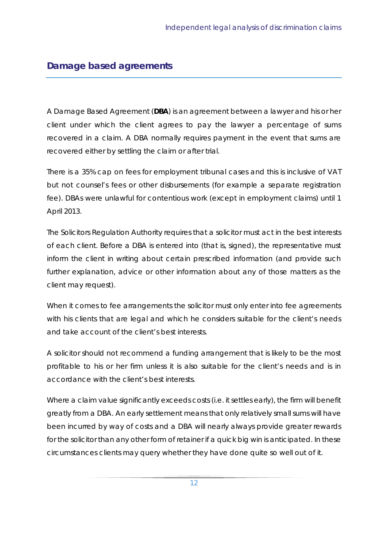# **Damage based agreements**

A Damage Based Agreement (**DBA**) is an agreement between a lawyer and his or her client under which the client agrees to pay the lawyer a percentage of sums recovered in a claim. A DBA normally requires payment in the event that sums are recovered either by settling the claim or after trial.

There is a 35% cap on fees for employment tribunal cases and this is inclusive of VAT but not counsel's fees or other disbursements (for example a separate registration fee). DBAs were unlawful for contentious work (except in employment claims) until 1 April 2013.

The Solicitors Regulation Authority requires that a solicitor must act in the best interests of each client. Before a DBA is entered into (that is, signed), the representative must inform the client in writing about certain prescribed information (and provide such further explanation, advice or other information about any of those matters as the client may request).

When it comes to fee arrangements the solicitor must only enter into fee agreements with his clients that are legal and which he considers suitable for the client's needs and take account of the client's best interests.

A solicitor should not recommend a funding arrangement that is likely to be the most profitable to his or her firm unless it is also suitable for the client's needs and is in accordance with the client's best interests.

Where a claim value significantly exceeds costs (i.e. it settles early), the firm will benefit greatly from a DBA. An early settlement means that only relatively small sums will have been incurred by way of costs and a DBA will nearly always provide greater rewards for the solicitor than any other form of retainer if a quick big win is anticipated. In these circumstances clients may query whether they have done quite so well out of it.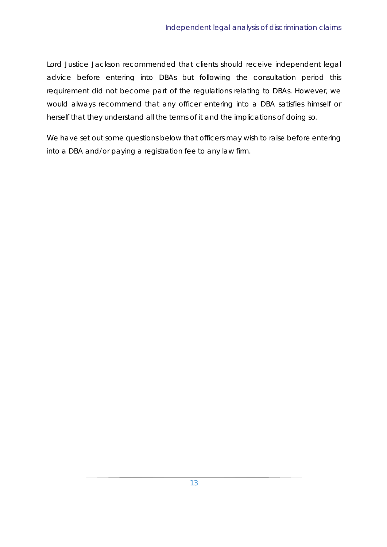Lord Justice Jackson recommended that clients should receive independent legal advice before entering into DBAs but following the consultation period this requirement did not become part of the regulations relating to DBAs. However, we would always recommend that any officer entering into a DBA satisfies himself or herself that they understand all the terms of it and the implications of doing so.

We have set out some questions below that officers may wish to raise before entering into a DBA and/or paying a registration fee to any law firm.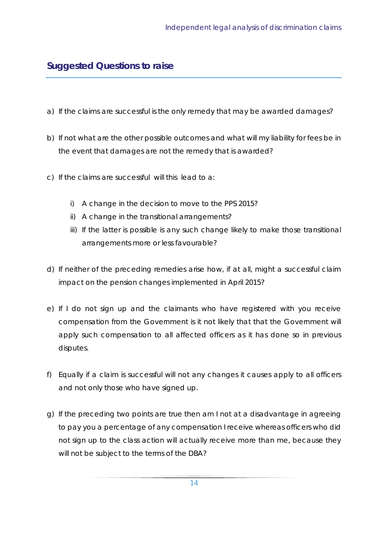# **Suggested Questions to raise**

- a) If the claims are successful is the only remedy that may be awarded damages?
- b) If not what are the other possible outcomes and what will my liability for fees be in the event that damages are not the remedy that is awarded?
- c) If the claims are successful will this lead to a:
	- i) A change in the decision to move to the PPS 2015?
	- ii) A change in the transitional arrangements?
	- iii) If the latter is possible is any such change likely to make those transitional arrangements more or less favourable?
- d) If neither of the preceding remedies arise how, if at all, might a successful claim impact on the pension changes implemented in April 2015?
- e) If I do not sign up and the claimants who have registered with you receive compensation from the Government is it not likely that that the Government will apply such compensation to all affected officers as it has done so in previous disputes.
- f) Equally if a claim is successful will not any changes it causes apply to all officers and not only those who have signed up.
- g) If the preceding two points are true then am I not at a disadvantage in agreeing to pay you a percentage of any compensation I receive whereas officers who did not sign up to the class action will actually receive more than me, because they will not be subject to the terms of the DBA?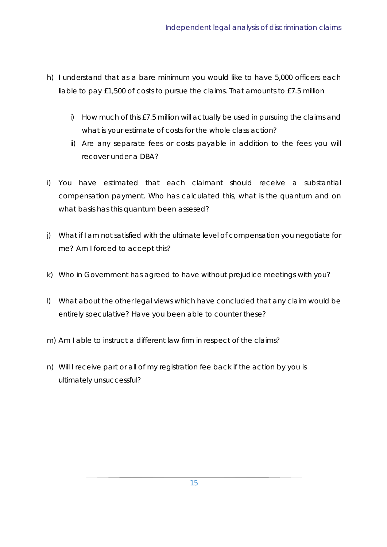- h) I understand that as a bare minimum you would like to have 5,000 officers each liable to pay £1,500 of costs to pursue the claims. That amounts to £7.5 million
	- i) How much of this £7.5 million will actually be used in pursuing the claims and what is your estimate of costs for the whole class action?
	- ii) Are any separate fees or costs payable in addition to the fees you will recover under a DBA?
- i) You have estimated that each claimant should receive a substantial compensation payment. Who has calculated this, what is the quantum and on what basis has this quantum been assesed?
- j) What if I am not satisfied with the ultimate level of compensation you negotiate for me? Am I forced to accept this?
- k) Who in Government has agreed to have without prejudice meetings with you?
- l) What about the other legal views which have concluded that any claim would be entirely speculative? Have you been able to counter these?
- m) Am I able to instruct a different law firm in respect of the claims?
- n) Will I receive part or all of my registration fee back if the action by you is ultimately unsuccessful?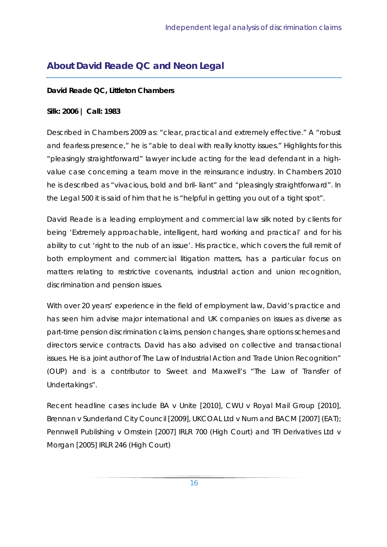# **About David Reade QC and Neon Legal**

### **David Reade QC, Littleton Chambers**

### **Silk: 2006 | Call: 1983**

Described in Chambers 2009 as: "clear, practical and extremely effective." A "robust and fearless presence," he is "able to deal with really knotty issues." Highlights for this "pleasingly straightforward" lawyer include acting for the lead defendant in a highvalue case concerning a team move in the reinsurance industry. In Chambers 2010 he is described as "vivacious, bold and bril- liant" and "pleasingly straightforward". In the Legal 500 it is said of him that he is "helpful in getting you out of a tight spot".

David Reade is a leading employment and commercial law silk noted by clients for being 'Extremely approachable, intelligent, hard working and practical' and for his ability to cut 'right to the nub of an issue'. His practice, which covers the full remit of both employment and commercial litigation matters, has a particular focus on matters relating to restrictive covenants, industrial action and union recognition, discrimination and pension issues.

With over 20 years' experience in the field of employment law, David's practice and has seen him advise major international and UK companies on issues as diverse as part-time pension discrimination claims, pension changes, share options schemes and directors service contracts. David has also advised on collective and transactional issues. He is a joint author of The Law of Industrial Action and Trade Union Recognition" (OUP) and is a contributor to Sweet and Maxwell's "The Law of Transfer of Undertakings".

Recent headline cases include BA v Unite [2010], CWU v Royal Mail Group [2010], Brennan v Sunderland City Council [2009], UKCOAL Ltd v Num and BACM [2007] (EAT); Pennwell Publishing v Ornstein [2007] IRLR 700 (High Court) and TFI Derivatives Ltd v Morgan [2005] IRLR 246 (High Court)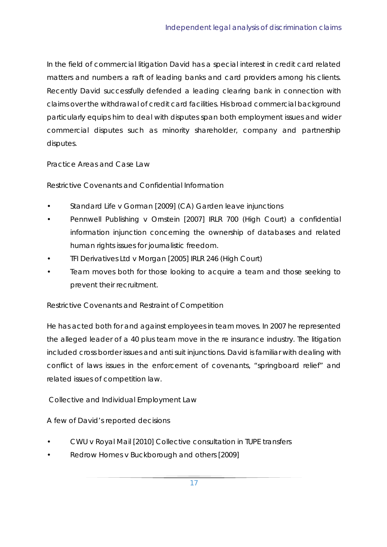In the field of commercial litigation David has a special interest in credit card related matters and numbers a raft of leading banks and card providers among his clients. Recently David successfully defended a leading clearing bank in connection with claims over the withdrawal of credit card facilities. His broad commercial background particularly equips him to deal with disputes span both employment issues and wider commercial disputes such as minority shareholder, company and partnership disputes.

Practice Areas and Case Law

Restrictive Covenants and Confidential Information

- Standard Life v Gorman [2009] (CA) Garden leave injunctions
- Pennwell Publishing v Ornstein [2007] IRLR 700 (High Court) a confidential information injunction concerning the ownership of databases and related human rights issues for journalistic freedom.
- TFI Derivatives Ltd v Morgan [2005] IRLR 246 (High Court)
- Team moves both for those looking to acquire a team and those seeking to prevent their recruitment.

Restrictive Covenants and Restraint of Competition

He has acted both for and against employees in team moves. In 2007 he represented the alleged leader of a 40 plus team move in the re insurance industry. The litigation included cross border issues and anti suit injunctions. David is familiar with dealing with conflict of laws issues in the enforcement of covenants, "springboard relief" and related issues of competition law.

Collective and Individual Employment Law

A few of David's reported decisions

- CWU v Royal Mail [2010] Collective consultation in TUPE transfers
- Redrow Homes v Buckborough and others [2009]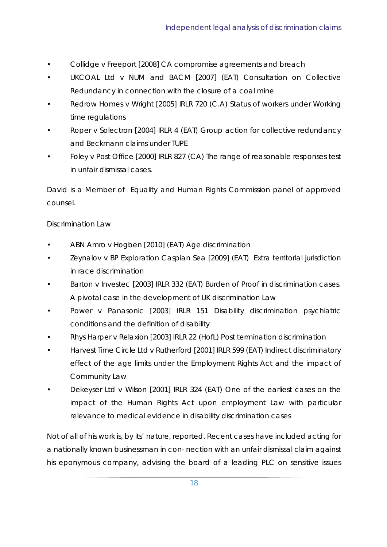- Collidge v Freeport [2008] CA compromise agreements and breach
- UKCOAL Ltd v NUM and BACM [2007] (EAT) Consultation on Collective Redundancy in connection with the closure of a coal mine
- Redrow Homes v Wright [2005] IRLR 720 (C.A) Status of workers under Working time regulations
- Roper v Solectron [2004] IRLR 4 (EAT) Group action for collective redundancy and Beckmann claims under TUPE
- Foley v Post Office [2000] IRLR 827 (CA) The range of reasonable responses test in unfair dismissal cases.

David is a Member of Equality and Human Rights Commission panel of approved counsel.

### Discrimination Law

- ABN Amro v Hogben [2010] (EAT) Age discrimination
- Zeynalov v BP Exploration Caspian Sea [2009] (EAT) Extra territorial jurisdiction in race discrimination
- Barton v Investec [2003] IRLR 332 (EAT) Burden of Proof in discrimination cases. A pivotal case in the development of UK discrimination Law
- Power v Panasonic [2003] IRLR 151 Disability discrimination psychiatric conditions and the definition of disability
- Rhys Harper v Relaxion [2003] IRLR 22 (HofL) Post termination discrimination
- Harvest Time Circle Ltd v Rutherford [2001] IRLR 599 (EAT) Indirect discriminatory effect of the age limits under the Employment Rights Act and the impact of Community Law
- Dekeyser Ltd v Wilson [2001] IRLR 324 (EAT) One of the earliest cases on the impact of the Human Rights Act upon employment Law with particular relevance to medical evidence in disability discrimination cases

Not of all of his work is, by its' nature, reported. Recent cases have included acting for a nationally known businessman in con- nection with an unfair dismissal claim against his eponymous company, advising the board of a leading PLC on sensitive issues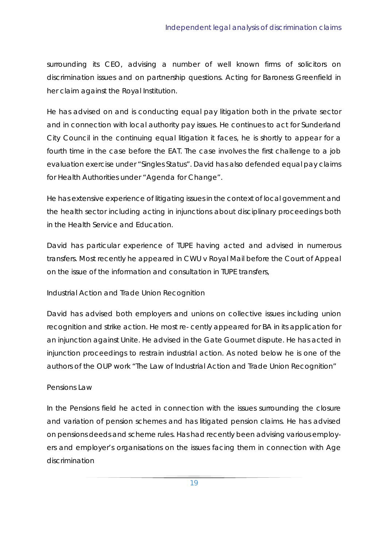surrounding its CEO, advising a number of well known firms of solicitors on discrimination issues and on partnership questions. Acting for Baroness Greenfield in her claim against the Royal Institution.

He has advised on and is conducting equal pay litigation both in the private sector and in connection with local authority pay issues. He continues to act for Sunderland City Council in the continuing equal litigation it faces, he is shortly to appear for a fourth time in the case before the EAT. The case involves the first challenge to a job evaluation exercise under "Singles Status". David has also defended equal pay claims for Health Authorities under "Agenda for Change".

He has extensive experience of litigating issues in the context of local government and the health sector including acting in injunctions about disciplinary proceedings both in the Health Service and Education.

David has particular experience of TUPE having acted and advised in numerous transfers. Most recently he appeared in CWU v Royal Mail before the Court of Appeal on the issue of the information and consultation in TUPE transfers,

Industrial Action and Trade Union Recognition

David has advised both employers and unions on collective issues including union recognition and strike action. He most re- cently appeared for BA in its application for an injunction against Unite. He advised in the Gate Gourmet dispute. He has acted in injunction proceedings to restrain industrial action. As noted below he is one of the authors of the OUP work "The Law of Industrial Action and Trade Union Recognition"

### Pensions Law

In the Pensions field he acted in connection with the issues surrounding the closure and variation of pension schemes and has litigated pension claims. He has advised on pensions deeds and scheme rules. Has had recently been advising various employers and employer's organisations on the issues facing them in connection with Age discrimination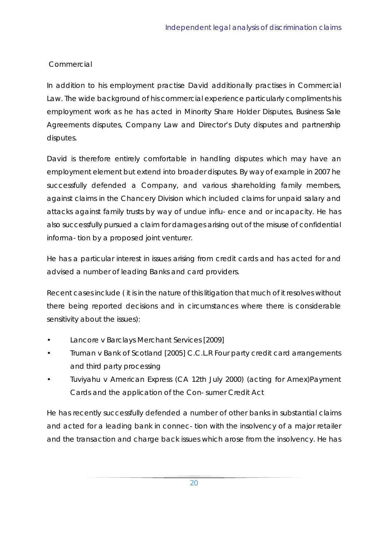### **Commercial**

In addition to his employment practise David additionally practises in Commercial Law. The wide background of his commercial experience particularly compliments his employment work as he has acted in Minority Share Holder Disputes, Business Sale Agreements disputes, Company Law and Director's Duty disputes and partnership disputes.

David is therefore entirely comfortable in handling disputes which may have an employment element but extend into broader disputes. By way of example in 2007 he successfully defended a Company, and various shareholding family members, against claims in the Chancery Division which included claims for unpaid salary and attacks against family trusts by way of undue influ- ence and or incapacity. He has also successfully pursued a claim for damages arising out of the misuse of confidential informa- tion by a proposed joint venturer.

He has a particular interest in issues arising from credit cards and has acted for and advised a number of leading Banks and card providers.

Recent cases include ( it is in the nature of this litigation that much of it resolves without there being reported decisions and in circumstances where there is considerable sensitivity about the issues):

- Lancore v Barclays Merchant Services [2009]
- Truman v Bank of Scotland [2005] C.C.L.R Four party credit card arrangements and third party processing
- Tuviyahu v American Express (CA 12th July 2000) (acting for Amex)Payment Cards and the application of the Con- sumer Credit Act

He has recently successfully defended a number of other banks in substantial claims and acted for a leading bank in connec- tion with the insolvency of a major retailer and the transaction and charge back issues which arose from the insolvency. He has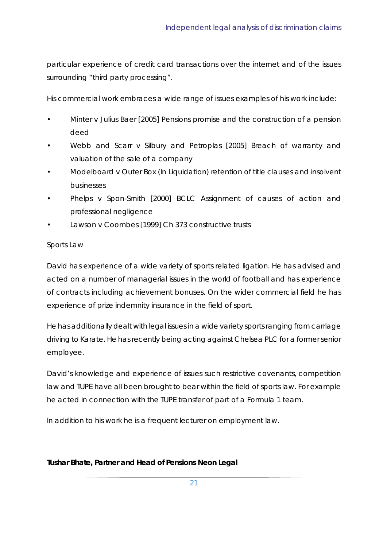particular experience of credit card transactions over the internet and of the issues surrounding "third party processing".

His commercial work embraces a wide range of issues examples of his work include:

- Minter v Julius Baer [2005] Pensions promise and the construction of a pension deed
- Webb and Scarr v Silbury and Petroplas [2005] Breach of warranty and valuation of the sale of a company
- Modelboard v Outer Box (In Liquidation) retention of title clauses and insolvent businesses
- Phelps v Spon-Smith [2000] BCLC Assignment of causes of action and professional negligence
- Lawson v Coombes [1999] Ch 373 constructive trusts

### Sports Law

David has experience of a wide variety of sports related ligation. He has advised and acted on a number of managerial issues in the world of football and has experience of contracts including achievement bonuses. On the wider commercial field he has experience of prize indemnity insurance in the field of sport.

He has additionally dealt with legal issues in a wide variety sports ranging from carriage driving to Karate. He has recently being acting against Chelsea PLC for a former senior employee.

David's knowledge and experience of issues such restrictive covenants, competition law and TUPE have all been brought to bear within the field of sports law. For example he acted in connection with the TUPE transfer of part of a Formula 1 team.

In addition to his work he is a frequent lecturer on employment law.

### **Tushar Bhate, Partner and Head of Pensions Neon Legal**